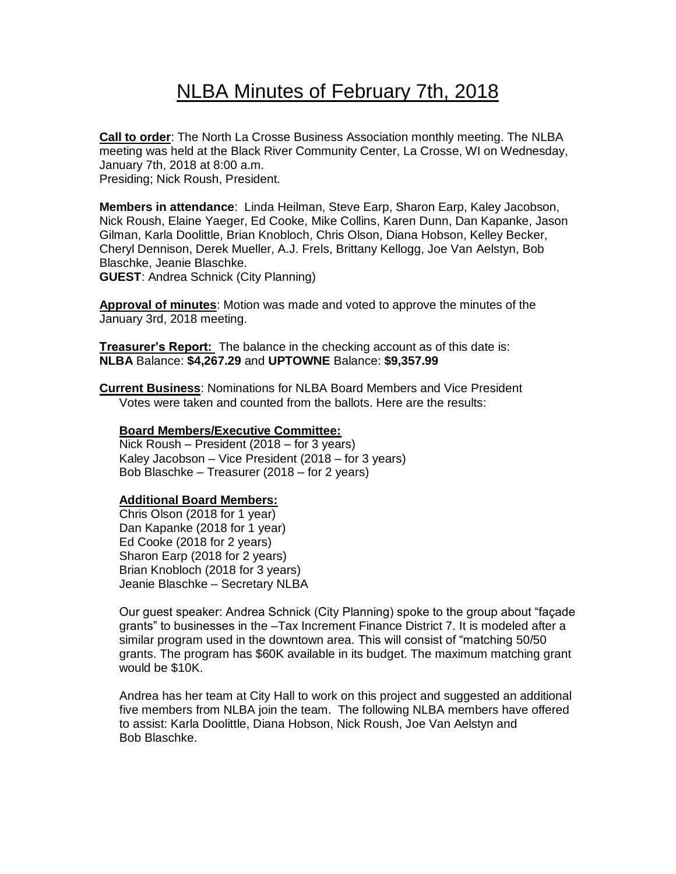# NLBA Minutes of February 7th, 2018

**Call to order**: The North La Crosse Business Association monthly meeting. The NLBA meeting was held at the Black River Community Center, La Crosse, WI on Wednesday, January 7th, 2018 at 8:00 a.m. Presiding; Nick Roush, President.

**Members in attendance**: Linda Heilman, Steve Earp, Sharon Earp, Kaley Jacobson, Nick Roush, Elaine Yaeger, Ed Cooke, Mike Collins, Karen Dunn, Dan Kapanke, Jason Gilman, Karla Doolittle, Brian Knobloch, Chris Olson, Diana Hobson, Kelley Becker, Cheryl Dennison, Derek Mueller, A.J. Frels, Brittany Kellogg, Joe Van Aelstyn, Bob Blaschke, Jeanie Blaschke.

**GUEST**: Andrea Schnick (City Planning)

**Approval of minutes**: Motion was made and voted to approve the minutes of the January 3rd, 2018 meeting.

**Treasurer's Report:** The balance in the checking account as of this date is: **NLBA** Balance: **\$4,267.29** and **UPTOWNE** Balance: **\$9,357.99**

**Current Business**: Nominations for NLBA Board Members and Vice President Votes were taken and counted from the ballots. Here are the results:

#### **Board Members/Executive Committee:**

Nick Roush – President (2018 – for 3 years) Kaley Jacobson – Vice President (2018 – for 3 years) Bob Blaschke – Treasurer (2018 – for 2 years)

#### **Additional Board Members:**

Chris Olson (2018 for 1 year) Dan Kapanke (2018 for 1 year) Ed Cooke (2018 for 2 years) Sharon Earp (2018 for 2 years) Brian Knobloch (2018 for 3 years) Jeanie Blaschke – Secretary NLBA

Our guest speaker: Andrea Schnick (City Planning) spoke to the group about "façade grants" to businesses in the –Tax Increment Finance District 7. It is modeled after a similar program used in the downtown area. This will consist of "matching 50/50 grants. The program has \$60K available in its budget. The maximum matching grant would be \$10K.

 Andrea has her team at City Hall to work on this project and suggested an additional five members from NLBA join the team. The following NLBA members have offered to assist: Karla Doolittle, Diana Hobson, Nick Roush, Joe Van Aelstyn and Bob Blaschke.